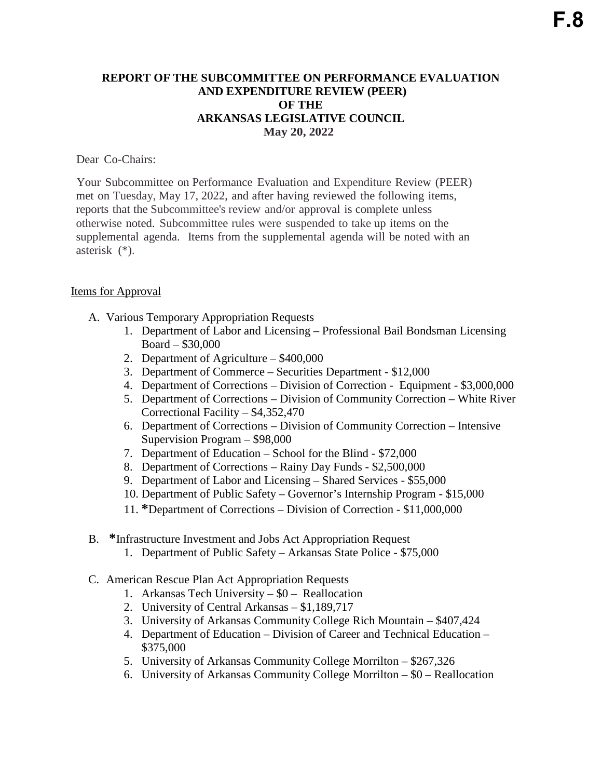# **REPORT OF THE SUBCOMMITTEE ON PERFORMANCE EVALUATION AND EXPENDITURE REVIEW (PEER) OF THE ARKANSAS LEGISLATIVE COUNCIL May 20, 2022**

### Dear Co-Chairs:

Your Subcommittee on Performance Evaluation and Expenditure Review (PEER) met on Tuesday, May 17, 2022, and after having reviewed the following items, reports that the Subcommittee's review and/or approval is complete unless otherwise noted. Subcommittee rules were suspended to take up items on the supplemental agenda. Items from the supplemental agenda will be noted with an asterisk (\*).

# Items for Approval

- A. Various Temporary Appropriation Requests
	- 1. Department of Labor and Licensing Professional Bail Bondsman Licensing Board – \$30,000
	- 2. Department of Agriculture \$400,000
	- 3. Department of Commerce Securities Department \$12,000
	- 4. Department of Corrections Division of Correction Equipment \$3,000,000
	- 5. Department of Corrections Division of Community Correction White River Correctional Facility – \$4,352,470
	- 6. Department of Corrections Division of Community Correction Intensive Supervision Program – \$98,000
	- 7. Department of Education School for the Blind \$72,000
	- 8. Department of Corrections Rainy Day Funds \$2,500,000
	- 9. Department of Labor and Licensing Shared Services \$55,000
	- 10. Department of Public Safety Governor's Internship Program \$15,000
	- 11. **\***Department of Corrections Division of Correction \$11,000,000
- B. **\***Infrastructure Investment and Jobs Act Appropriation Request
	- 1. Department of Public Safety Arkansas State Police \$75,000

### C. American Rescue Plan Act Appropriation Requests

- 1. Arkansas Tech University \$0 Reallocation
- 2. University of Central Arkansas \$1,189,717
- 3. University of Arkansas Community College Rich Mountain \$407,424
- 4. Department of Education Division of Career and Technical Education \$375,000
- 5. University of Arkansas Community College Morrilton \$267,326
- 6. University of Arkansas Community College Morrilton \$0 Reallocation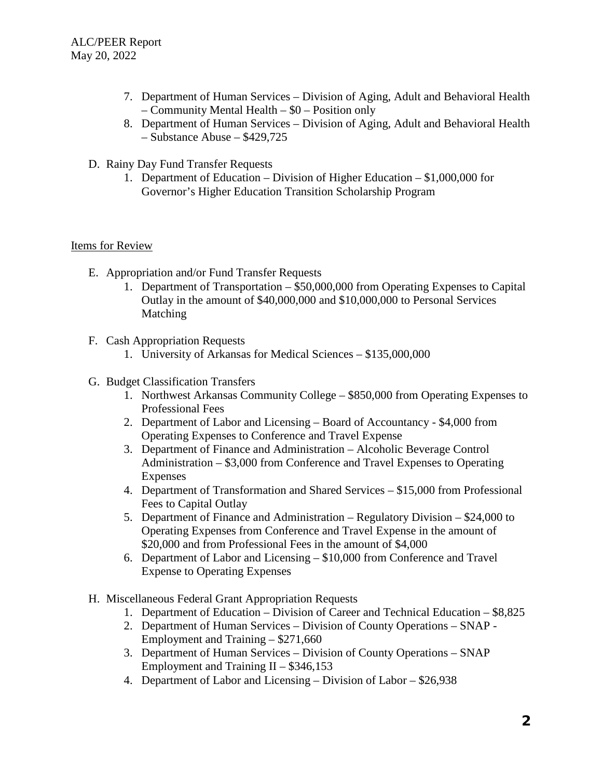- 7. Department of Human Services Division of Aging, Adult and Behavioral Health – Community Mental Health – \$0 – Position only
- 8. Department of Human Services Division of Aging, Adult and Behavioral Health – Substance Abuse – \$429,725
- D. Rainy Day Fund Transfer Requests
	- 1. Department of Education Division of Higher Education \$1,000,000 for Governor's Higher Education Transition Scholarship Program

### Items for Review

- E. Appropriation and/or Fund Transfer Requests
	- 1. Department of Transportation \$50,000,000 from Operating Expenses to Capital Outlay in the amount of \$40,000,000 and \$10,000,000 to Personal Services Matching
- F. Cash Appropriation Requests
	- 1. University of Arkansas for Medical Sciences \$135,000,000
- G. Budget Classification Transfers
	- 1. Northwest Arkansas Community College \$850,000 from Operating Expenses to Professional Fees
	- 2. Department of Labor and Licensing Board of Accountancy \$4,000 from Operating Expenses to Conference and Travel Expense
	- 3. Department of Finance and Administration Alcoholic Beverage Control Administration – \$3,000 from Conference and Travel Expenses to Operating Expenses
	- 4. Department of Transformation and Shared Services \$15,000 from Professional Fees to Capital Outlay
	- 5. Department of Finance and Administration Regulatory Division \$24,000 to Operating Expenses from Conference and Travel Expense in the amount of \$20,000 and from Professional Fees in the amount of \$4,000
	- 6. Department of Labor and Licensing \$10,000 from Conference and Travel Expense to Operating Expenses
- H. Miscellaneous Federal Grant Appropriation Requests
	- 1. Department of Education Division of Career and Technical Education \$8,825
	- 2. Department of Human Services Division of County Operations SNAP Employment and Training – \$271,660
	- 3. Department of Human Services Division of County Operations SNAP Employment and Training II – \$346,153
	- 4. Department of Labor and Licensing Division of Labor \$26,938